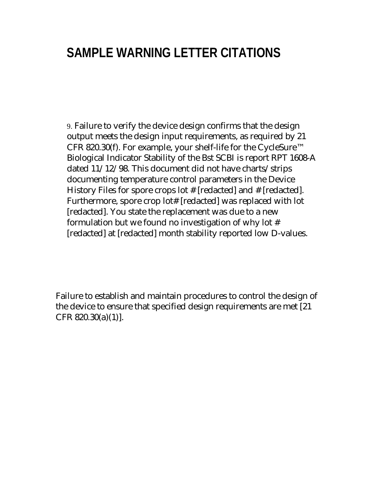## **SAMPLE WARNING LETTER CITATIONS**

9. Failure to verify the device design confirms that the design output meets the design input requirements, as required by 21 CFR 820.30(f). For example, your shelf-life for the CycleSure™ Biological Indicator Stability of the Bst SCBI is report RPT 1608-A dated 11/12/98. This document did not have charts/strips documenting temperature control parameters in the Device History Files for spore crops lot # [redacted] and # [redacted]. Furthermore, spore crop lot# [redacted] was replaced with lot [redacted]. You state the replacement was due to a new formulation but we found no investigation of why lot # [redacted] at [redacted] month stability reported low D-values.

Failure to establish and maintain procedures to control the design of the device to ensure that specified design requirements are met [21 CFR 820.30(a)(1)].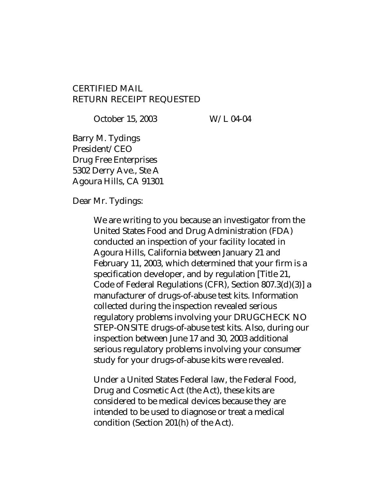## CERTIFIED MAIL RETURN RECEIPT REQUESTED

October 15, 2003 W/L 04-04

Barry M. Tydings President/CEO Drug Free Enterprises 5302 Derry Ave., Ste A Agoura Hills, CA 91301

Dear Mr. Tydings:

We are writing to you because an investigator from the United States Food and Drug Administration (FDA) conducted an inspection of your facility located in Agoura Hills, California between January 21 and February 11, 2003, which determined that your firm is a specification developer, and by regulation [Title 21, Code of Federal Regulations (CFR), Section 807.3(d)(3)] a manufacturer of drugs-of-abuse test kits. Information collected during the inspection revealed serious regulatory problems involving your DRUGCHECK NO STEP-ONSITE drugs-of-abuse test kits. Also, during our inspection between June 17 and 30, 2003 additional serious regulatory problems involving your consumer study for your drugs-of-abuse kits were revealed.

Under a United States Federal law, the Federal Food, Drug and Cosmetic Act (the Act), these kits are considered to be medical devices because they are intended to be used to diagnose or treat a medical condition (Section 201(h) of the Act).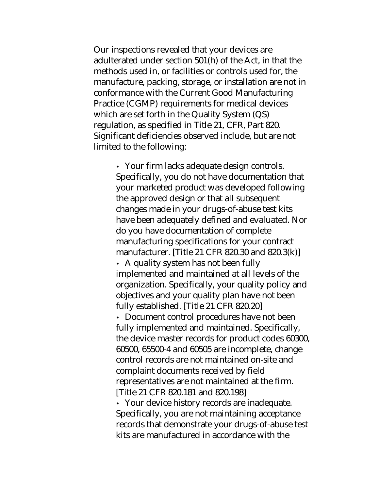Our inspections revealed that your devices are adulterated under section 501(h) of the Act, in that the methods used in, or facilities or controls used for, the manufacture, packing, storage, or installation are not in conformance with the Current Good Manufacturing Practice (CGMP) requirements for medical devices which are set forth in the Quality System (QS) regulation, as specified in Title 21, CFR, Part 820. Significant deficiencies observed include, but are not limited to the following:

> • Your firm lacks adequate design controls. Specifically, you do not have documentation that your marketed product was developed following the approved design or that all subsequent changes made in your drugs-of-abuse test kits have been adequately defined and evaluated. Nor do you have documentation of complete manufacturing specifications for your contract manufacturer. [Title 21 CFR 820.30 and 820.3(k)] • A quality system has not been fully

> implemented and maintained at all levels of the organization. Specifically, your quality policy and objectives and your quality plan have not been fully established. [Title 21 CFR 820.20]

• Document control procedures have not been fully implemented and maintained. Specifically, the device master records for product codes 60300, 60500, 65500-4 and 60505 are incomplete, change control records are not maintained on-site and complaint documents received by field representatives are not maintained at the firm. [Title 21 CFR 820.181 and 820.198]

• Your device history records are inadequate. Specifically, you are not maintaining acceptance records that demonstrate your drugs-of-abuse test kits are manufactured in accordance with the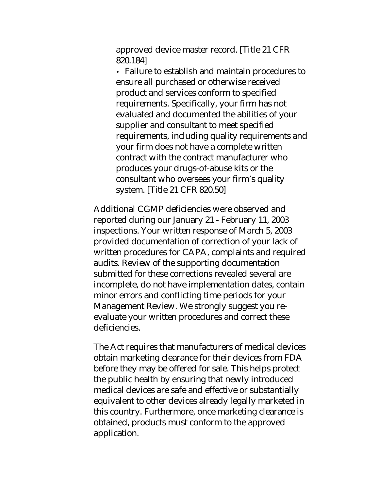approved device master record. [Title 21 CFR 820.184]

• Failure to establish and maintain procedures to ensure all purchased or otherwise received product and services conform to specified requirements. Specifically, your firm has not evaluated and documented the abilities of your supplier and consultant to meet specified requirements, including quality requirements and your firm does not have a complete written contract with the contract manufacturer who produces your drugs-of-abuse kits or the consultant who oversees your firm's quality system. [Title 21 CFR 820.50]

Additional CGMP deficiencies were observed and reported during our January 21 - February 11, 2003 inspections. Your written response of March 5, 2003 provided documentation of correction of your lack of written procedures for CAPA, complaints and required audits. Review of the supporting documentation submitted for these corrections revealed several are incomplete, do not have implementation dates, contain minor errors and conflicting time periods for your Management Review. We strongly suggest you reevaluate your written procedures and correct these deficiencies.

The Act requires that manufacturers of medical devices obtain marketing clearance for their devices from FDA before they may be offered for sale. This helps protect the public health by ensuring that newly introduced medical devices are safe and effective or substantially equivalent to other devices already legally marketed in this country. Furthermore, once marketing clearance is obtained, products must conform to the approved application.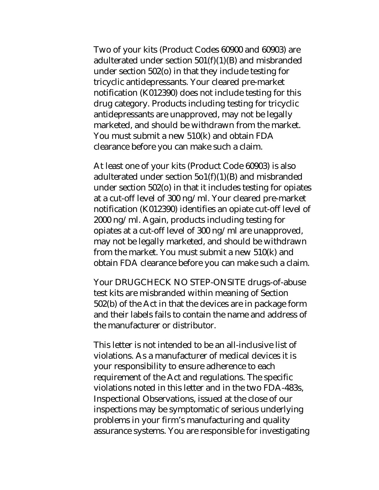Two of your kits (Product Codes 60900 and 60903) are adulterated under section 501(f)(1)(B) and misbranded under section 502(o) in that they include testing for tricyclic antidepressants. Your cleared pre-market notification (K012390) does not include testing for this drug category. Products including testing for tricyclic antidepressants are unapproved, may not be legally marketed, and should be withdrawn from the market. You must submit a new 510(k) and obtain FDA clearance before you can make such a claim.

At least one of your kits (Product Code 60903) is also adulterated under section 5o1(f)(1)(B) and misbranded under section 502(o) in that it includes testing for opiates at a cut-off level of 300 ng/ml. Your cleared pre-market notification (K012390) identifies an opiate cut-off level of 2000 ng/ml. Again, products including testing for opiates at a cut-off level of 300 ng/ml are unapproved, may not be legally marketed, and should be withdrawn from the market. You must submit a new 510(k) and obtain FDA clearance before you can make such a claim.

Your DRUGCHECK NO STEP-ONSITE drugs-of-abuse test kits are misbranded within meaning of Section 502(b) of the Act in that the devices are in package form and their labels fails to contain the name and address of the manufacturer or distributor.

This letter is not intended to be an all-inclusive list of violations. As a manufacturer of medical devices it is your responsibility to ensure adherence to each requirement of the Act and regulations. The specific violations noted in this letter and in the two FDA-483s, Inspectional Observations, issued at the close of our inspections may be symptomatic of serious underlying problems in your firm's manufacturing and quality assurance systems. You are responsible for investigating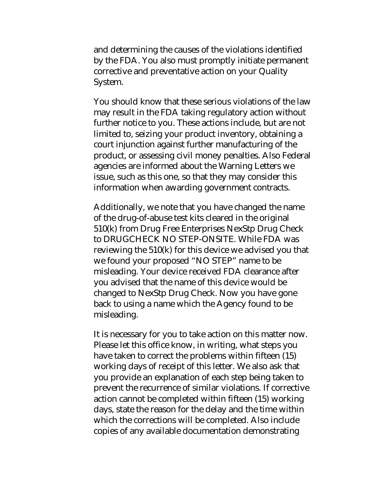and determining the causes of the violations identified by the FDA. You also must promptly initiate permanent corrective and preventative action on your Quality System.

You should know that these serious violations of the law may result in the FDA taking regulatory action without further notice to you. These actions include, but are not limited to, seizing your product inventory, obtaining a court injunction against further manufacturing of the product, or assessing civil money penalties. Also Federal agencies are informed about the Warning Letters we issue, such as this one, so that they may consider this information when awarding government contracts.

Additionally, we note that you have changed the name of the drug-of-abuse test kits cleared in the original 510(k) from Drug Free Enterprises NexStp Drug Check to DRUGCHECK NO STEP-ONSITE. While FDA was reviewing the 510(k) for this device we advised you that we found your proposed "NO STEP" name to be misleading. Your device received FDA clearance after you advised that the name of this device would be changed to NexStp Drug Check. Now you have gone back to using a name which the Agency found to be misleading.

It is necessary for you to take action on this matter now. Please let this office know, in writing, what steps you have taken to correct the problems within fifteen (15) working days of receipt of this letter. We also ask that you provide an explanation of each step being taken to prevent the recurrence of similar violations. If corrective action cannot be completed within fifteen (15) working days, state the reason for the delay and the time within which the corrections will be completed. Also include copies of any available documentation demonstrating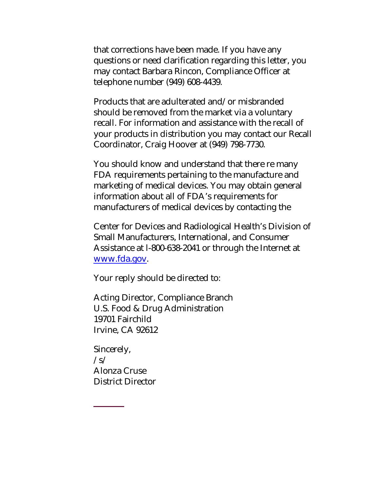that corrections have been made. If you have any questions or need clarification regarding this letter, you may contact Barbara Rincon, Compliance Officer at telephone number (949) 608-4439.

Products that are adulterated and/or misbranded should be removed from the market via a voluntary recall. For information and assistance with the recall of your products in distribution you may contact our Recall Coordinator, Craig Hoover at (949) 798-7730.

You should know and understand that there re many FDA requirements pertaining to the manufacture and marketing of medical devices. You may obtain general information about all of FDA's requirements for manufacturers of medical devices by contacting the

Center for Devices and Radiological Health's Division of Small Manufacturers, International, and Consumer Assistance at l-800-638-2041 or through the Internet at www.fda.gov.

Your reply should be directed to:

Acting Director, Compliance Branch U.S. Food & Drug Administration 19701 Fairchild Irvine, CA 92612

Sincerely, /s/ Alonza Cruse District Director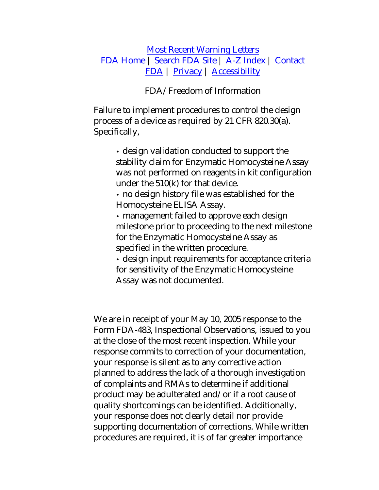## Most Recent Warning Letters FDA Home | Search FDA Site | A-Z Index | Contact FDA | Privacy | Accessibility

## FDA/Freedom of Information

Failure to implement procedures to control the design process of a device as required by 21 CFR 820.30(a). Specifically,

- design validation conducted to support the stability claim for Enzymatic Homocysteine Assay was not performed on reagents in kit configuration under the 510(k) for that device.
- no design history file was established for the Homocysteine ELISA Assay.
- management failed to approve each design milestone prior to proceeding to the next milestone for the Enzymatic Homocysteine Assay as specified in the written procedure.
- design input requirements for acceptance criteria for sensitivity of the Enzymatic Homocysteine Assay was not documented.

We are in receipt of your May 10, 2005 response to the Form FDA-483, Inspectional Observations, issued to you at the close of the most recent inspection. While your response commits to correction of your documentation, your response is silent as to any corrective action planned to address the lack of a thorough investigation of complaints and RMAs to determine if additional product may be adulterated and/or if a root cause of quality shortcomings can be identified. Additionally, your response does not clearly detail nor provide supporting documentation of corrections. While written procedures are required, it is of far greater importance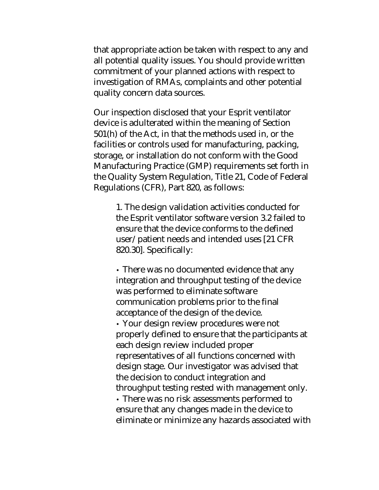that appropriate action be taken with respect to any and all potential quality issues. You should provide written commitment of your planned actions with respect to investigation of RMAs, complaints and other potential quality concern data sources.

Our inspection disclosed that your Esprit ventilator device is adulterated within the meaning of Section 501(h) of the Act, in that the methods used in, or the facilities or controls used for manufacturing, packing, storage, or installation do not conform with the Good Manufacturing Practice (GMP) requirements set forth in the Quality System Regulation, Title 21, Code of Federal Regulations (CFR), Part 820, as follows:

> 1. The design validation activities conducted for the Esprit ventilator software version 3.2 failed to ensure that the device conforms to the defined user/patient needs and intended uses [21 CFR 820.30]. Specifically:

• There was no documented evidence that any integration and throughput testing of the device was performed to eliminate software communication problems prior to the final acceptance of the design of the device.

• Your design review procedures were not properly defined to ensure that the participants at each design review included proper representatives of all functions concerned with design stage. Our investigator was advised that the decision to conduct integration and throughput testing rested with management only.

• There was no risk assessments performed to ensure that any changes made in the device to eliminate or minimize any hazards associated with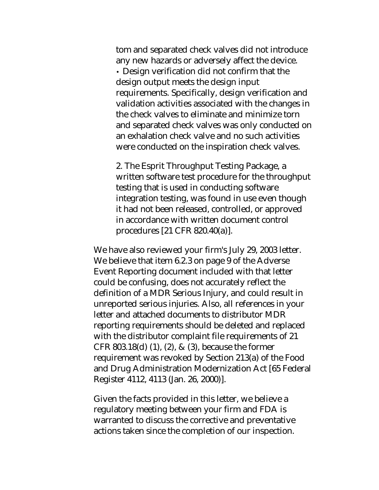tom and separated check valves did not introduce any new hazards or adversely affect the device. • Design verification did not confirm that the design output meets the design input requirements. Specifically, design verification and validation activities associated with the changes in the check valves to eliminate and minimize torn and separated check valves was only conducted on an exhalation check valve and no such activities were conducted on the inspiration check valves.

2. The Esprit Throughput Testing Package, a written software test procedure for the throughput testing that is used in conducting software integration testing, was found in use even though it had not been released, controlled, or approved in accordance with written document control procedures [21 CFR 820.40(a)].

We have also reviewed your firm's July 29, 2003 letter. We believe that item 6.2.3 on page 9 of the Adverse Event Reporting document included with that letter could be confusing, does not accurately reflect the definition of a MDR Serious Injury, and could result in unreported serious injuries. Also, all references in your letter and attached documents to distributor MDR reporting requirements should be deleted and replaced with the distributor complaint file requirements of 21 CFR 803.18(d) (1), (2), & (3), because the former requirement was revoked by Section 213(a) of the Food and Drug Administration Modernization Act [65 Federal Register 4112, 4113 (Jan. 26, 2000)].

Given the facts provided in this letter, we believe a regulatory meeting between your firm and FDA is warranted to discuss the corrective and preventative actions taken since the completion of our inspection.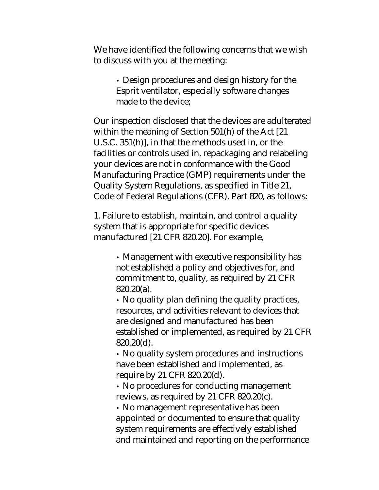We have identified the following concerns that we wish to discuss with you at the meeting:

> • Design procedures and design history for the Esprit ventilator, especially software changes made to the device;

Our inspection disclosed that the devices are adulterated within the meaning of Section 501(h) of the Act [21 U.S.C. 351(h)], in that the methods used in, or the facilities or controls used in, repackaging and relabeling your devices are not in conformance with the Good Manufacturing Practice (GMP) requirements under the Quality System Regulations, as specified in Title 21, Code of Federal Regulations (CFR), Part 820, as follows:

1. Failure to establish, maintain, and control a quality system that is appropriate for specific devices manufactured [21 CFR 820.20]. For example,

> • Management with executive responsibility has not established a policy and objectives for, and commitment to, quality, as required by 21 CFR 820.20(a).

• No quality plan defining the quality practices, resources, and activities relevant to devices that are designed and manufactured has been established or implemented, as required by 21 CFR 820.20(d).

• No quality system procedures and instructions have been established and implemented, as require by 21 CFR 820.20(d).

• No procedures for conducting management reviews, as required by 21 CFR 820.20(c).

• No management representative has been appointed or documented to ensure that quality system requirements are effectively established and maintained and reporting on the performance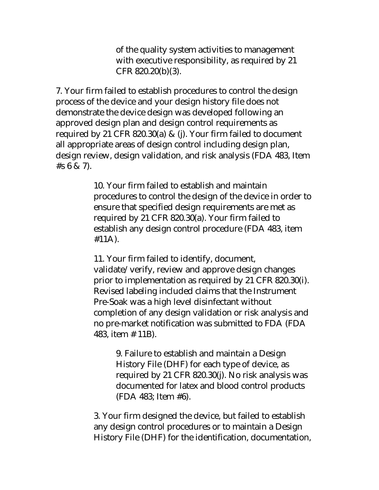of the quality system activities to management with executive responsibility, as required by 21 CFR 820.20(b)(3).

7. Your firm failed to establish procedures to control the design process of the device and your design history file does not demonstrate the device design was developed following an approved design plan and design control requirements as required by 21 CFR 820.30(a) & (j). Your firm failed to document all appropriate areas of design control including design plan, design review, design validation, and risk analysis (FDA 483, Item  $#s 6 8 7$ ).

> 10. Your firm failed to establish and maintain procedures to control the design of the device in order to ensure that specified design requirements are met as required by 21 CFR 820.30(a). Your firm failed to establish any design control procedure (FDA 483, item #11A).

> 11. Your firm failed to identify, document, validate/verify, review and approve design changes prior to implementation as required by 21 CFR 820.30(i). Revised labeling included claims that the Instrument Pre-Soak was a high level disinfectant without completion of any design validation or risk analysis and no pre-market notification was submitted to FDA (FDA 483, item # 11B).

9. Failure to establish and maintain a Design History File (DHF) for each type of device, as required by 21 CFR 820.30(j). No risk analysis was documented for latex and blood control products (FDA 483; Item #6).

3. Your firm designed the device, but failed to establish any design control procedures or to maintain a Design History File (DHF) for the identification, documentation,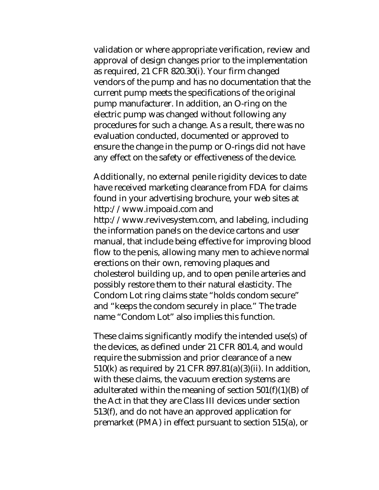validation or where appropriate verification, review and approval of design changes prior to the implementation as required, 21 CFR 820.30(i). Your firm changed vendors of the pump and has no documentation that the current pump meets the specifications of the original pump manufacturer. In addition, an O-ring on the electric pump was changed without following any procedures for such a change. As a result, there was no evaluation conducted, documented or approved to ensure the change in the pump or O-rings did not have any effect on the safety or effectiveness of the device.

Additionally, no external penile rigidity devices to date have received marketing clearance from FDA for claims found in your advertising brochure, your web sites at http://www.impoaid.com and http://www.revivesystem.com, and labeling, including the information panels on the device cartons and user manual, that include being effective for improving blood flow to the penis, allowing many men to achieve normal erections on their own, removing plaques and cholesterol building up, and to open penile arteries and possibly restore them to their natural elasticity. The Condom Lot ring claims state "holds condom secure" and "keeps the condom securely in place." The trade name "Condom Lot" also implies this function.

These claims significantly modify the intended use(s) of the devices, as defined under 21 CFR 801.4, and would require the submission and prior clearance of a new 510(k) as required by 21 CFR 897.81(a)(3)(ii). In addition, with these claims, the vacuum erection systems are adulterated within the meaning of section 501(f)(1)(B) of the Act in that they are Class III devices under section 513(f), and do not have an approved application for premarket (PMA) in effect pursuant to section 515(a), or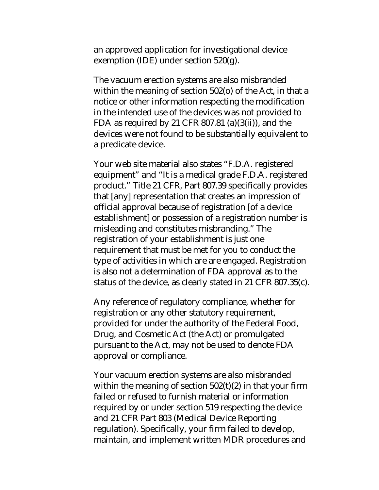an approved application for investigational device exemption (IDE) under section 520(g).

The vacuum erection systems are also misbranded within the meaning of section 502(o) of the Act, in that a notice or other information respecting the modification in the intended use of the devices was not provided to FDA as required by 21 CFR 807.81 (a) $(3(ii))$ , and the devices were not found to be substantially equivalent to a predicate device.

Your web site material also states "F.D.A. registered equipment" and "It is a medical grade F.D.A. registered product." Title 21 CFR, Part 807.39 specifically provides that [any] representation that creates an impression of official approval because of registration [of a device establishment] or possession of a registration number is misleading and constitutes misbranding." The registration of your establishment is just one requirement that must be met for you to conduct the type of activities in which are are engaged. Registration is also not a determination of FDA approval as to the status of the device, as clearly stated in 21 CFR 807.35(c).

Any reference of regulatory compliance, whether for registration or any other statutory requirement, provided for under the authority of the Federal Food, Drug, and Cosmetic Act (the Act) or promulgated pursuant to the Act, may not be used to denote FDA approval or compliance.

Your vacuum erection systems are also misbranded within the meaning of section 502(t)(2) in that your firm failed or refused to furnish material or information required by or under section 519 respecting the device and 21 CFR Part 803 (Medical Device Reporting regulation). Specifically, your firm failed to develop, maintain, and implement written MDR procedures and